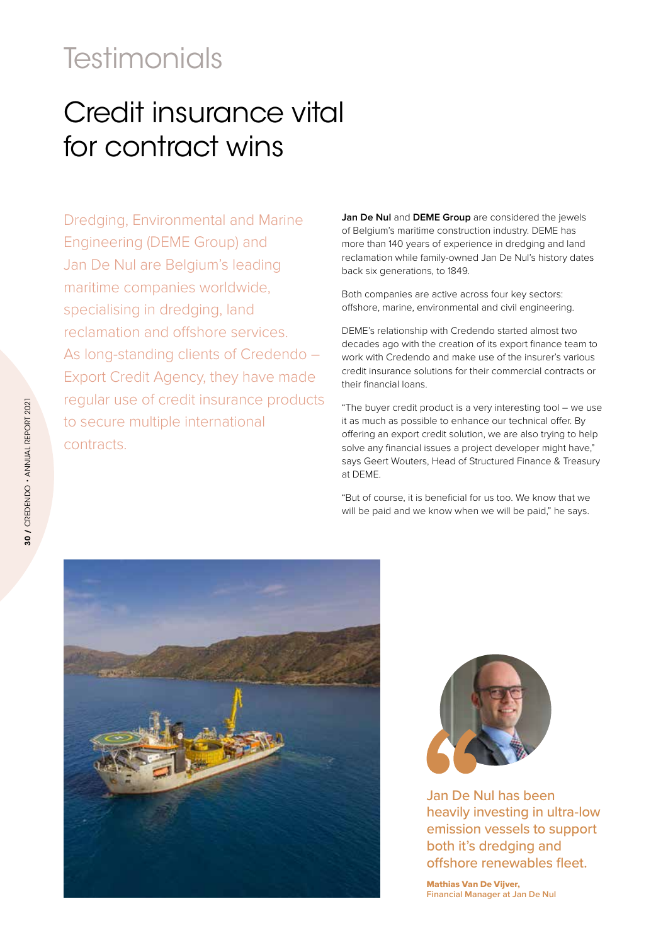## **Testimonials**

# Credit insurance vital for contract wins

Dredging, Environmental and Marine Engineering (DEME Group) and Jan De Nul are Belgium's leading maritime companies worldwide, specialising in dredging, land reclamation and offshore services. As long-standing clients of Credendo – Export Credit Agency, they have made regular use of credit insurance products to secure multiple international contracts.

**Jan De Nul** and **DEME Group** are considered the jewels of Belgium's maritime construction industry. DEME has more than 140 years of experience in dredging and land reclamation while family-owned Jan De Nul's history dates back six generations, to 1849.

Both companies are active across four key sectors: offshore, marine, environmental and civil engineering.

DEME's relationship with Credendo started almost two decades ago with the creation of its export finance team to work with Credendo and make use of the insurer's various credit insurance solutions for their commercial contracts or their financial loans.

"The buyer credit product is a very interesting tool – we use it as much as possible to enhance our technical offer. By offering an export credit solution, we are also trying to help solve any financial issues a project developer might have," says Geert Wouters, Head of Structured Finance & Treasury at DEME.

"But of course, it is beneficial for us too. We know that we will be paid and we know when we will be paid," he says.





Jan De Nul has been heavily investing in ultra-low emission vessels to support both it's dredging and offshore renewables fleet.

Mathias Van De Vijver, **Financial Manager at Jan De Nul**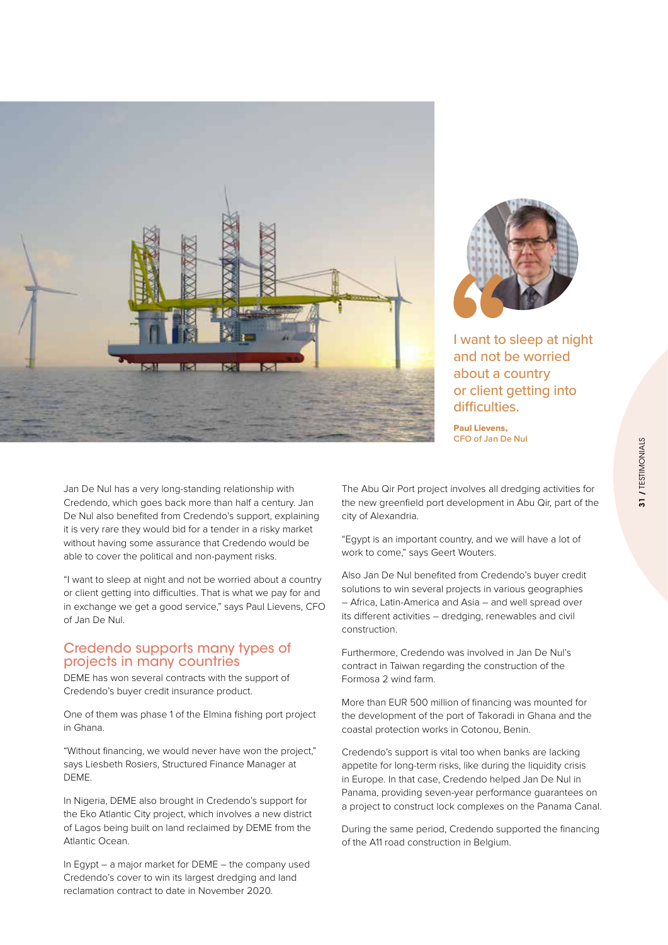



I want to sleep at night and not be worried about a country or client getting into difficulties.

Paul Lievens, **CFO of Jan De Nul**

Jan De Nul has a very long-standing relationship with Credendo, which goes back more than half a century. Jan De Nul also benefited from Credendo's support, explaining it is very rare they would bid for a tender in a risky market without having some assurance that Credendo would be able to cover the political and non-payment risks.

"I want to sleep at night and not be worried about a country or client getting into difficulties. That is what we pay for and in exchange we get a good service," says Paul Lievens, CFO of Jan De Nul.

### Credendo supports many types of projects in many countries

DEME has won several contracts with the support of Credendo's buyer credit insurance product.

One of them was phase 1 of the Elmina fishing port project in Ghana.

"Without financing, we would never have won the project," says Liesbeth Rosiers, Structured Finance Manager at DEME.

In Nigeria, DEME also brought in Credendo's support for the Eko Atlantic City project, which involves a new district of Lagos being built on land reclaimed by DEME from the Atlantic Ocean.

In Egypt – a major market for DEME – the company used Credendo's cover to win its largest dredging and land reclamation contract to date in November 2020.

The Abu Qir Port project involves all dredging activities for the new greenfield port development in Abu Qir, part of the city of Alexandria.

"Egypt is an important country, and we will have a lot of work to come," says Geert Wouters.

Also Jan De Nul benefited from Credendo's buyer credit solutions to win several projects in various geographies – Africa, Latin-America and Asia – and well spread over its different activities - dredging, renewables and civil construction.

Furthermore, Credendo was involved in Jan De Nul's contract in Taiwan regarding the construction of the Formosa 2 wind farm.

More than EUR 500 million of financing was mounted for the development of the port of Takoradi in Ghana and the coastal protection works in Cotonou, Benin.

Credendo's support is vital too when banks are lacking appetite for long-term risks, like during the liquidity crisis in Europe. In that case, Credendo helped Jan De Nul in Panama, providing seven-year performance guarantees on a project to construct lock complexes on the Panama Canal.

During the same period, Credendo supported the financing of the A11 road construction in Belgium.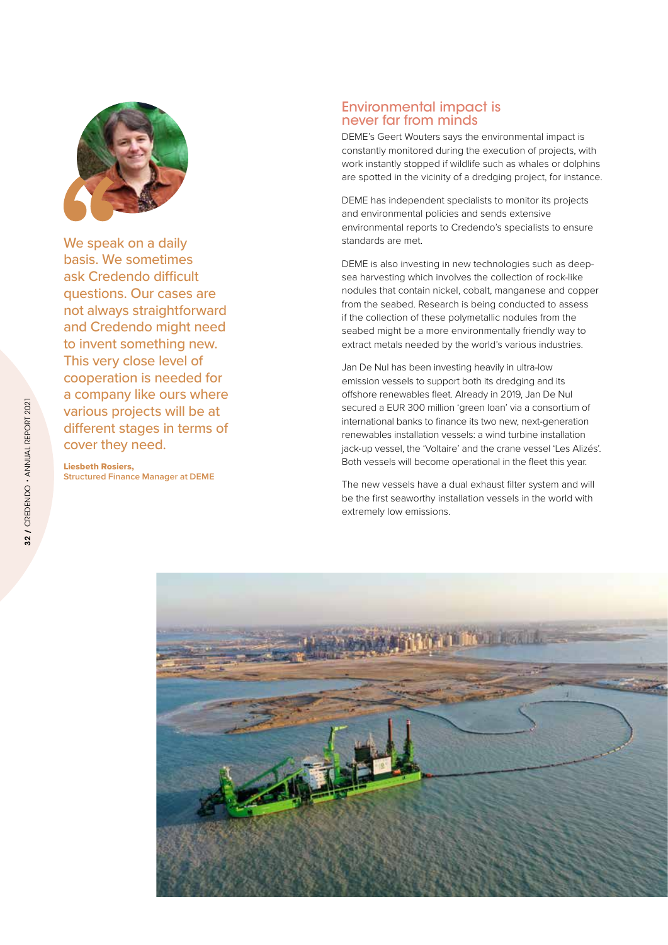

We speak on a daily basis. We sometimes ask Credendo difficult questions. Our cases are not always straightforward and Credendo might need to invent something new. This very close level of cooperation is needed for a company like ours where various projects will be at different stages in terms of cover they need.

#### Liesbeth Rosiers, **Structured Finance Manager at DEME**

## Environmental impact is never far from minds

DEME's Geert Wouters says the environmental impact is constantly monitored during the execution of projects, with work instantly stopped if wildlife such as whales or dolphins are spotted in the vicinity of a dredging project, for instance.

DEME has independent specialists to monitor its projects and environmental policies and sends extensive environmental reports to Credendo's specialists to ensure standards are met.

DEME is also investing in new technologies such as deepsea harvesting which involves the collection of rock-like nodules that contain nickel, cobalt, manganese and copper from the seabed. Research is being conducted to assess if the collection of these polymetallic nodules from the seabed might be a more environmentally friendly way to extract metals needed by the world's various industries.

Jan De Nul has been investing heavily in ultra-low emission vessels to support both its dredging and its offshore renewables fleet. Already in 2019, Jan De Nul secured a EUR 300 million 'green loan' via a consortium of international banks to finance its two new, next-generation renewables installation vessels: a wind turbine installation jack-up vessel, the 'Voltaire' and the crane vessel 'Les Alizés'. Both vessels will become operational in the fleet this year.

The new vessels have a dual exhaust filter system and will be the first seaworthy installation vessels in the world with extremely low emissions.